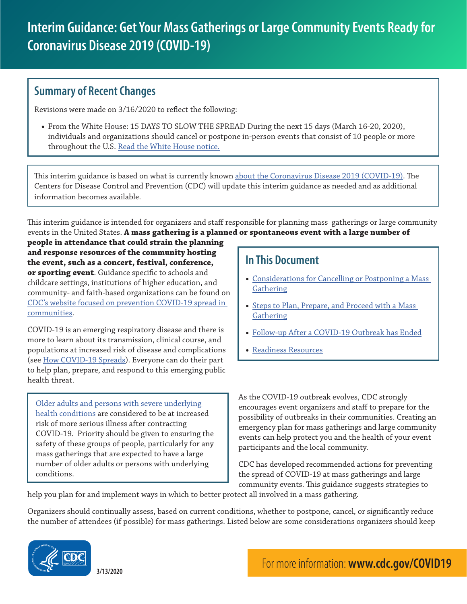## **Summary of Recent Changes**

Revisions were made on 3/16/2020 to reflect the following:

• From the White House: 15 DAYS TO SLOW THE SPREAD During the next 15 days (March 16-20, 2020), individuals and organizations should cancel or postpone in-person events that consist of 10 people or more throughout the U.S. [Read the White House notice.](https://www.whitehouse.gov/wp-content/uploads/2020/03/03.16.20_coronavirus-guidance_8.5x11_315PM.pdf)

This interim guidance is based on what is currently known [about the Coronavirus Disease 2019 \(COVID-19\)](https://www.cdc.gov/coronavirus/2019-ncov/about/index.html). The Centers for Disease Control and Prevention (CDC) will update this interim guidance as needed and as additional information becomes available.

This interim guidance is intended for organizers and staff responsible for planning mass gatherings or large community events in the United States. **A mass gathering is a planned or spontaneous event with a large number of** 

**people in attendance that could strain the planning and response resources of the community hosting the event, such as a concert, festival, conference, or sporting event**. Guidance specific to schools and childcare settings, institutions of higher education, and community- and faith-based organizations can be found on [CDC's website focused on prevention COVID-19 spread in](https://www.cdc.gov/coronavirus/2019-ncov/community/index.html?CDC_AA_refVal=https%3A%2F%2Fwww.cdc.gov%2Fcoronavirus%2F2019-ncov%2Fpreparing-individuals-communities.html)  [communities.](https://www.cdc.gov/coronavirus/2019-ncov/community/index.html?CDC_AA_refVal=https%3A%2F%2Fwww.cdc.gov%2Fcoronavirus%2F2019-ncov%2Fpreparing-individuals-communities.html)

COVID-19 is an emerging respiratory disease and there is more to learn about its transmission, clinical course, and populations at increased risk of disease and complications (see [How COVID-19 Spreads\)](https://www.cdc.gov/coronavirus/2019-ncov/about/transmission.html). Everyone can do their part to help plan, prepare, and respond to this emerging public health threat.

[Older adults and persons with severe underlying](https://www.cdc.gov/coronavirus/2019-ncov/specific-groups/high-risk-complications.html)  [health conditions](https://www.cdc.gov/coronavirus/2019-ncov/specific-groups/high-risk-complications.html) are considered to be at increased risk of more serious illness after contracting COVID-19. Priority should be given to ensuring the safety of these groups of people, particularly for any mass gatherings that are expected to have a large number of older adults or persons with underlying conditions.

# **In This Document**

- [Considerations for Cancelling or Postponing a Mass](#page-1-0)  **[Gathering](#page-1-0)**
- Steps to Plan, Prepare, and Proceed with a Mass [Gathering](#page-1-1)
- [Follow-up After a COVID-19 Outbreak has Ended](#page-4-0)
- [Readiness Resources](#page-4-1)

As the COVID-19 outbreak evolves, CDC strongly encourages event organizers and staff to prepare for the possibility of outbreaks in their communities. Creating an emergency plan for mass gatherings and large community events can help protect you and the health of your event participants and the local community.

CDC has developed recommended actions for preventing the spread of COVID-19 at mass gatherings and large community events. This guidance suggests strategies to

help you plan for and implement ways in which to better protect all involved in a mass gathering.

Organizers should continually assess, based on current conditions, whether to postpone, cancel, or significantly reduce the number of attendees (if possible) for mass gatherings. Listed below are some considerations organizers should keep

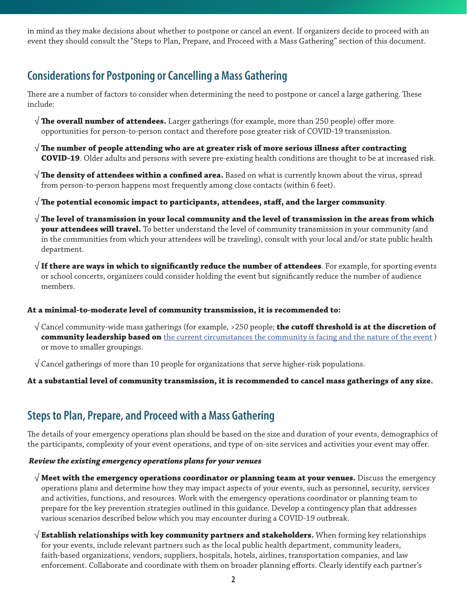in mind as they make decisions about whether to postpone or cancel an event. If organizers decide to proceed with an event they should consult the "Steps to Plan, Prepare, and Proceed with a Mass Gathering" section of this document.

# <span id="page-1-0"></span>**Considerations for Postponing or Cancelling a Mass Gathering**

There are a number of factors to consider when determining the need to postpone or cancel a large gathering. These include:

- √ **The overall number of attendees.** Larger gatherings (for example, more than 250 people) offer more opportunities for person-to-person contact and therefore pose greater risk of COVID-19 transmission.
- √ **The number of people attending who are at greater risk of more serious illness after contracting COVID-19**. Older adults and persons with severe pre-existing health conditions are thought to be at increased risk.
- √ **The density of attendees within a confined area.** Based on what is currently known about the virus, spread from person-to-person happens most frequently among close contacts (within 6 feet).
- √ **The potential economic impact to participants, attendees, staff, and the larger community**.
- √ **The level of transmission in your local community and the level of transmission in the areas from which your attendees will travel.** To better understand the level of community transmission in your community (and in the communities from which your attendees will be traveling), consult with your local and/or state public health department.
- √ **If there are ways in which to significantly reduce the number of attendees**. For example, for sporting events or school concerts, organizers could consider holding the event but significantly reduce the number of audience members.

### **At a minimal-to-moderate level of community transmission, it is recommended to:**

- √ Cancel community-wide mass gatherings (for example, >250 people; **the cutoff threshold is at the discretion of community leadership based on** [the current circumstances the community is facing and the nature of the event](https://www.cdc.gov/coronavirus/2019-ncov/downloads/community-mitigation-strategy.pdf) ) or move to smaller groupings.
- $\sqrt{\frac{1}{2}}$  Cancel gatherings of more than 10 people for organizations that serve higher-risk populations.

### **At a substantial level of community transmission, it is recommended to cancel mass gatherings of any size.**

## <span id="page-1-1"></span>**Steps to Plan, Prepare, and Proceed with a Mass Gathering**

The details of your emergency operations plan should be based on the size and duration of your events, demographics of the participants, complexity of your event operations, and type of on-site services and activities your event may offer.

#### *Review the existing emergency operations plans for your venues*

- √ **Meet with the emergency operations coordinator or planning team at your venues.** Discuss the emergency operations plans and determine how they may impact aspects of your events, such as personnel, security, services and activities, functions, and resources. Work with the emergency operations coordinator or planning team to prepare for the key prevention strategies outlined in this guidance. Develop a contingency plan that addresses various scenarios described below which you may encounter during a COVID-19 outbreak.
- √ **Establish relationships with key community partners and stakeholders.** When forming key relationships for your events, include relevant partners such as the local public health department, community leaders, faith-based organizations, vendors, suppliers, hospitals, hotels, airlines, transportation companies, and law enforcement. Collaborate and coordinate with them on broader planning efforts. Clearly identify each partner's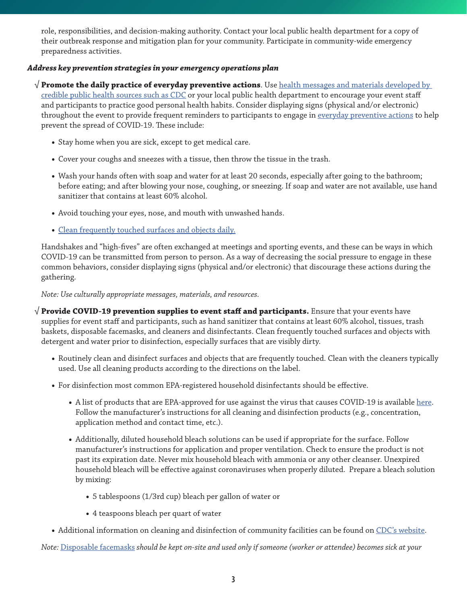role, responsibilities, and decision-making authority. Contact your local public health department for a copy of their outbreak response and mitigation plan for your community. Participate in community-wide emergency preparedness activities.

### *Address key prevention strategies in your emergency operations plan*

√ **Promote the daily practice of everyday preventive actions**. Use [health messages and materials developed by](https://www.cdc.gov/coronavirus/2019-ncov/communication/factsheets.html)  [credible public health sources such as CDC](https://www.cdc.gov/coronavirus/2019-ncov/communication/factsheets.html) or your local public health department to encourage your event staff and participants to practice good personal health habits. Consider displaying signs (physical and/or electronic) throughout the event to provide frequent reminders to participants to engage in [everyday preventive actions](https://www.cdc.gov/coronavirus/2019-ncov/about/prevention-treatment.html) to help prevent the spread of COVID-19. These include:

- Stay home when you are sick, except to get medical care.
- Cover your coughs and sneezes with a tissue, then throw the tissue in the trash.
- Wash your hands often with soap and water for at least 20 seconds, especially after going to the bathroom; before eating; and after blowing your nose, coughing, or sneezing. If soap and water are not available, use hand sanitizer that contains at least 60% alcohol.
- Avoid touching your eyes, nose, and mouth with unwashed hands.
- [Clean frequently touched surfaces and objects daily.](https://www.cdc.gov/coronavirus/2019-ncov/community/organizations/cleaning-disinfection.html)

Handshakes and "high-fives" are often exchanged at meetings and sporting events, and these can be ways in which COVID-19 can be transmitted from person to person. As a way of decreasing the social pressure to engage in these common behaviors, consider displaying signs (physical and/or electronic) that discourage these actions during the gathering.

*Note: Use culturally appropriate messages, materials, and resources.*

√ **Provide COVID-19 prevention supplies to event staff and participants.** Ensure that your events have supplies for event staff and participants, such as hand sanitizer that contains at least 60% alcohol, tissues, trash baskets, disposable facemasks, and cleaners and disinfectants. Clean frequently touched surfaces and objects with detergent and water prior to disinfection, especially surfaces that are visibly dirty.

- Routinely clean and disinfect surfaces and objects that are frequently touched. Clean with the cleaners typically used. Use all cleaning products according to the directions on the label.
- For disinfection most common EPA-registered household disinfectants should be effective.
	- A list of products that are EPA-approved for use against the virus that causes COVID-19 is available [here](https://www.epa.gov/sites/production/files/2020-03/documents/sars-cov-2-list_03-03-2020.pdf). Follow the manufacturer's instructions for all cleaning and disinfection products (e.g., concentration, application method and contact time, etc.).
	- Additionally, diluted household bleach solutions can be used if appropriate for the surface. Follow manufacturer's instructions for application and proper ventilation. Check to ensure the product is not past its expiration date. Never mix household bleach with ammonia or any other cleanser. Unexpired household bleach will be effective against coronaviruses when properly diluted. Prepare a bleach solution by mixing:
		- 5 tablespoons (1/3rd cup) bleach per gallon of water or
		- 4 teaspoons bleach per quart of water
- Additional information on cleaning and disinfection of community facilities can be found on [CDC's website.](https://www.cdc.gov/coronavirus/2019-ncov/community/organizations/cleaning-disinfection.html)

*Note:* [Disposable facemasks](https://www.cdc.gov/niosh/npptl/pdfs/UnderstandDifferenceInfographic-508.pdf) *should be kept on-site and used only if someone (worker or attendee) becomes sick at your*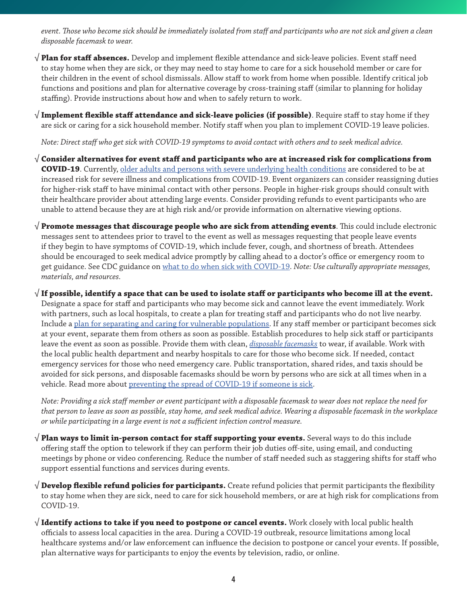*event. Those who become sick should be immediately isolated from staff and participants who are not sick and given a clean disposable facemask to wear.*

√ **Plan for staff absences.** Develop and implement flexible attendance and sick-leave policies. Event staff need to stay home when they are sick, or they may need to stay home to care for a sick household member or care for their children in the event of school dismissals. Allow staff to work from home when possible. Identify critical job functions and positions and plan for alternative coverage by cross-training staff (similar to planning for holiday staffing). Provide instructions about how and when to safely return to work.

√ **Implement flexible staff attendance and sick-leave policies (if possible)**. Require staff to stay home if they are sick or caring for a sick household member. Notify staff when you plan to implement COVID-19 leave policies.

*Note: Direct staff who get sick with COVID-19 symptoms to avoid contact with others and to seek medical advice.* 

- √ **Consider alternatives for event staff and participants who are at increased risk for complications from COVID-19**. Currently, [older adults and persons with severe underlying health conditions](https://www.cdc.gov/coronavirus/2019-ncov/specific-groups/high-risk-complications.html) are considered to be at increased risk for severe illness and complications from COVID-19. Event organizers can consider reassigning duties for higher-risk staff to have minimal contact with other persons. People in higher-risk groups should consult with their healthcare provider about attending large events. Consider providing refunds to event participants who are unable to attend because they are at high risk and/or provide information on alternative viewing options.
- √ **Promote messages that discourage people who are sick from attending events**. This could include electronic messages sent to attendees prior to travel to the event as well as messages requesting that people leave events if they begin to have symptoms of COVID-19, which include fever, cough, and shortness of breath. Attendees should be encouraged to seek medical advice promptly by calling ahead to a doctor's office or emergency room to get guidance. See CDC guidance on [what to do when sick with COVID-19](https://www.cdc.gov/coronavirus/2019-ncov/about/steps-when-sick.html). *Note: Use culturally appropriate messages, materials, and resources.*

√ **If possible, identify a space that can be used to isolate staff or participants who become ill at the event.**  Designate a space for staff and participants who may become sick and cannot leave the event immediately. Work with partners, such as local hospitals, to create a plan for treating staff and participants who do not live nearby. Include a [plan for separating and caring for vulnerable populations.](https://www.cdc.gov/coronavirus/2019-ncov/specific-groups/high-risk-complications.html) If any staff member or participant becomes sick at your event, separate them from others as soon as possible. Establish procedures to help sick staff or participants leave the event as soon as possible. Provide them with clean, *[disposable facemasks](https://www.cdc.gov/niosh/npptl/pdfs/UnderstandDifferenceInfographic-508.pdf)* to wear, if available. Work with the local public health department and nearby hospitals to care for those who become sick. If needed, contact emergency services for those who need emergency care. Public transportation, shared rides, and taxis should be avoided for sick persons, and disposable facemasks should be worn by persons who are sick at all times when in a vehicle. Read more about [preventing the spread of COVID-19 if someone is sick](https://www.cdc.gov/coronavirus/2019-ncov/about/steps-when-sick.html).

*Note: Providing a sick staff member or event participant with a disposable facemask to wear does not replace the need for that person to leave as soon as possible, stay home, and seek medical advice. Wearing a disposable facemask in the workplace or while participating in a large event is not a sufficient infection control measure.* 

- √ **Plan ways to limit in-person contact for staff supporting your events.** Several ways to do this include offering staff the option to telework if they can perform their job duties off-site, using email, and conducting meetings by phone or video conferencing. Reduce the number of staff needed such as staggering shifts for staff who support essential functions and services during events.
- √ **Develop flexible refund policies for participants.** Create refund policies that permit participants the flexibility to stay home when they are sick, need to care for sick household members, or are at high risk for complications from COVID-19.
- √ **Identify actions to take if you need to postpone or cancel events.** Work closely with local public health officials to assess local capacities in the area. During a COVID-19 outbreak, resource limitations among local healthcare systems and/or law enforcement can influence the decision to postpone or cancel your events. If possible, plan alternative ways for participants to enjoy the events by television, radio, or online.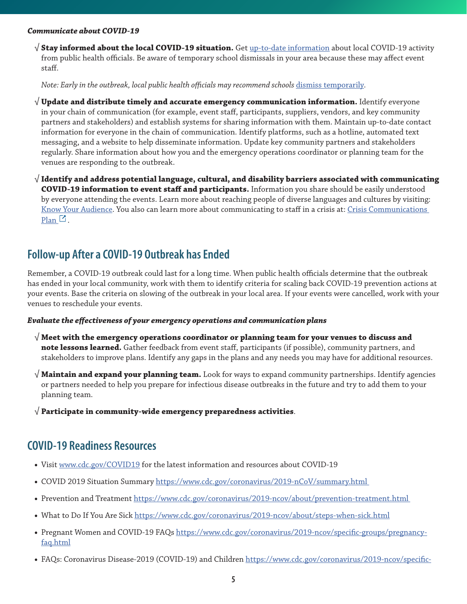#### *Communicate about COVID-19*

√ **Stay informed about the local COVID-19 situation.** Get [up-to-date information](https://www.cdc.gov/coronavirus/2019-ncov/index.html) about local COVID-19 activity from public health officials. Be aware of temporary school dismissals in your area because these may affect event staff.

*Note: Early in the outbreak, local public health officials may recommend schools [dismiss temporarily](https://www.cdc.gov/coronavirus/2019-ncov/specific-groups/guidance-for-schools.html).* 

- √ **Update and distribute timely and accurate emergency communication information.** Identify everyone in your chain of communication (for example, event staff, participants, suppliers, vendors, and key community partners and stakeholders) and establish systems for sharing information with them. Maintain up-to-date contact information for everyone in the chain of communication. Identify platforms, such as a hotline, automated text messaging, and a website to help disseminate information. Update key community partners and stakeholders regularly. Share information about how you and the emergency operations coordinator or planning team for the venues are responding to the outbreak.
- √ **Identify and address potential language, cultural, and disability barriers associated with communicating COVID-19 information to event staff and participants.** Information you share should be easily understood by everyone attending the events. Learn more about reaching people of diverse languages and cultures by visiting: [Know Your Audience](http://www.cdc.gov/healthcommunication/Audience/index.html). You also can learn more about communicating to staff in a crisis at: Crisis Communications  $Plan<sup>1</sup>$  $Plan<sup>1</sup>$ .

### <span id="page-4-0"></span>**Follow-up After a COVID-19 Outbreak has Ended**

Remember, a COVID-19 outbreak could last for a long time. When public health officials determine that the outbreak has ended in your local community, work with them to identify criteria for scaling back COVID-19 prevention actions at your events. Base the criteria on slowing of the outbreak in your local area. If your events were cancelled, work with your venues to reschedule your events.

#### *Evaluate the effectiveness of your emergency operations and communication plans*

- √ **Meet with the emergency operations coordinator or planning team for your venues to discuss and note lessons learned.** Gather feedback from event staff, participants (if possible), community partners, and stakeholders to improve plans. Identify any gaps in the plans and any needs you may have for additional resources.
- √ **Maintain and expand your planning team.** Look for ways to expand community partnerships. Identify agencies or partners needed to help you prepare for infectious disease outbreaks in the future and try to add them to your planning team.
- √ **Participate in community-wide emergency preparedness activities**.

## <span id="page-4-1"></span>**COVID-19 Readiness Resources**

- Visit [www.cdc.gov/COVID19](http://www.cdc.gov/COVID19) for the latest information and resources about COVID-19
- COVID 2019 Situation Summary<https://www.cdc.gov/coronavirus/2019-nCoV/summary.html>
- Prevention and Treatment<https://www.cdc.gov/coronavirus/2019-ncov/about/prevention-treatment.html>
- What to Do If You Are Sick <https://www.cdc.gov/coronavirus/2019-ncov/about/steps-when-sick.html>
- Pregnant Women and COVID-19 FAQs [https://www.cdc.gov/coronavirus/2019-ncov/specific-groups/pregnancy](https://www.cdc.gov/coronavirus/2019-ncov/specific-groups/pregnancy-faq.html)[faq.html](https://www.cdc.gov/coronavirus/2019-ncov/specific-groups/pregnancy-faq.html)
- FAQs: Coronavirus Disease-2019 (COVID-19) and Children [https://www.cdc.gov/coronavirus/2019-ncov/specific-](https://www.cdc.gov/coronavirus/2019-ncov/specific-groups/children-faq.html)